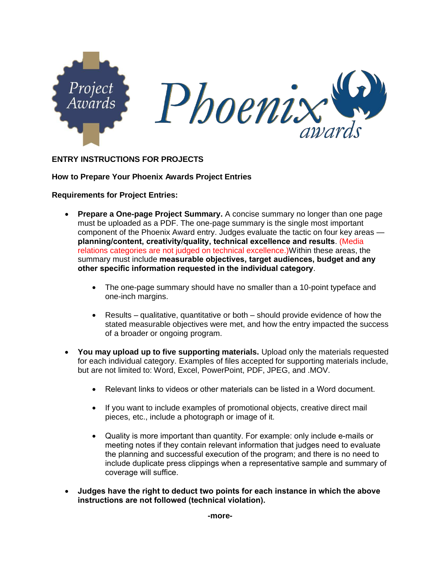

### **ENTRY INSTRUCTIONS FOR PROJECTS**

#### **How to Prepare Your Phoenix Awards Project Entries**

#### **Requirements for Project Entries:**

- **Prepare a One-page Project Summary.** A concise summary no longer than one page must be uploaded as a PDF. The one-page summary is the single most important component of the Phoenix Award entry. Judges evaluate the tactic on four key areas **planning/content, creativity/quality, technical excellence and results**. (Media relations categories are not judged on technical excellence.)Within these areas, the summary must include **measurable objectives, target audiences, budget and any other specific information requested in the individual category**.
	- The one-page summary should have no smaller than a 10-point typeface and one-inch margins.
	- Results qualitative, quantitative or both should provide evidence of how the stated measurable objectives were met, and how the entry impacted the success of a broader or ongoing program.
- **You may upload up to five supporting materials.** Upload only the materials requested for each individual category. Examples of files accepted for supporting materials include, but are not limited to: Word, Excel, PowerPoint, PDF, JPEG, and .MOV.
	- Relevant links to videos or other materials can be listed in a Word document.
	- If you want to include examples of promotional objects, creative direct mail pieces, etc., include a photograph or image of it.
	- Quality is more important than quantity. For example: only include e-mails or meeting notes if they contain relevant information that judges need to evaluate the planning and successful execution of the program; and there is no need to include duplicate press clippings when a representative sample and summary of coverage will suffice.
- **Judges have the right to deduct two points for each instance in which the above instructions are not followed (technical violation).**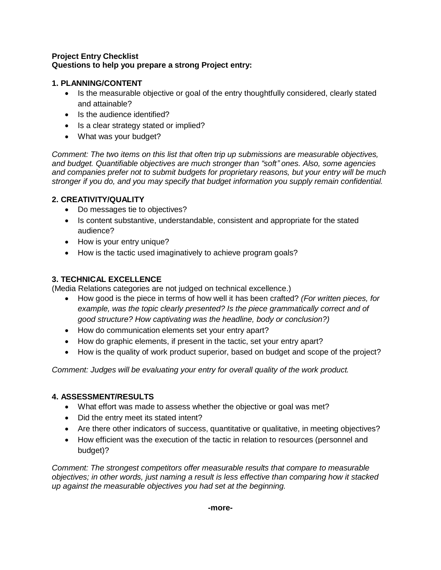### **Project Entry Checklist Questions to help you prepare a strong Project entry:**

### **1. PLANNING/CONTENT**

- Is the measurable objective or goal of the entry thoughtfully considered, clearly stated and attainable?
- Is the audience identified?
- Is a clear strategy stated or implied?
- What was your budget?

*Comment: The two items on this list that often trip up submissions are measurable objectives, and budget. Quantifiable objectives are much stronger than "soft" ones. Also, some agencies and companies prefer not to submit budgets for proprietary reasons, but your entry will be much stronger if you do, and you may specify that budget information you supply remain confidential.*

## **2. CREATIVITY/QUALITY**

- Do messages tie to objectives?
- Is content substantive, understandable, consistent and appropriate for the stated audience?
- How is your entry unique?
- How is the tactic used imaginatively to achieve program goals?

# **3. TECHNICAL EXCELLENCE**

(Media Relations categories are not judged on technical excellence.)

- How good is the piece in terms of how well it has been crafted? *(For written pieces, for example, was the topic clearly presented? Is the piece grammatically correct and of good structure? How captivating was the headline, body or conclusion?)*
- How do communication elements set your entry apart?
- How do graphic elements, if present in the tactic, set your entry apart?
- How is the quality of work product superior, based on budget and scope of the project?

*Comment: Judges will be evaluating your entry for overall quality of the work product.*

### **4. ASSESSMENT/RESULTS**

- What effort was made to assess whether the objective or goal was met?
- Did the entry meet its stated intent?
- Are there other indicators of success, quantitative or qualitative, in meeting objectives?
- How efficient was the execution of the tactic in relation to resources (personnel and budget)?

*Comment: The strongest competitors offer measurable results that compare to measurable objectives; in other words, just naming a result is less effective than comparing how it stacked up against the measurable objectives you had set at the beginning.*